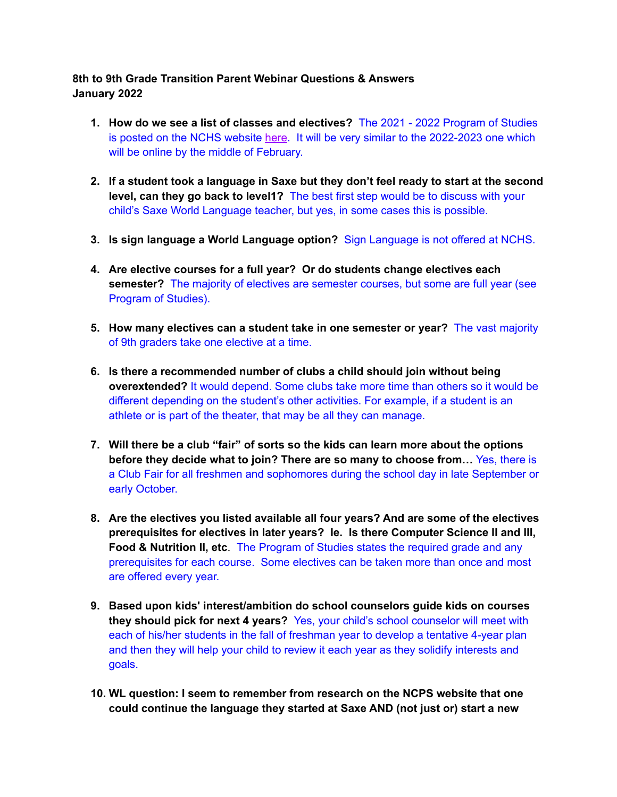## **8th to 9th Grade Transition Parent Webinar Questions & Answers January 2022**

- **1. How do we see a list of classes and electives?** The 2021 2022 Program of Studies is posted on the NCHS website [here](https://www.ncps-k12.org/Page/2725). It will be very similar to the 2022-2023 one which will be online by the middle of February.
- **2. If a student took a language in Saxe but they don't feel ready to start at the second level, can they go back to level1?** The best first step would be to discuss with your child's Saxe World Language teacher, but yes, in some cases this is possible.
- **3. Is sign language a World Language option?** Sign Language is not offered at NCHS.
- **4. Are elective courses for a full year? Or do students change electives each semester?** The majority of electives are semester courses, but some are full year (see Program of Studies).
- **5. How many electives can a student take in one semester or year?** The vast majority of 9th graders take one elective at a time.
- **6. Is there a recommended number of clubs a child should join without being overextended?** It would depend. Some clubs take more time than others so it would be different depending on the student's other activities. For example, if a student is an athlete or is part of the theater, that may be all they can manage.
- **7. Will there be a club "fair" of sorts so the kids can learn more about the options before they decide what to join? There are so many to choose from…** Yes, there is a Club Fair for all freshmen and sophomores during the school day in late September or early October.
- **8. Are the electives you listed available all four years? And are some of the electives prerequisites for electives in later years? Ie. Is there Computer Science II and III, Food & Nutrition II, etc**. The Program of Studies states the required grade and any prerequisites for each course. Some electives can be taken more than once and most are offered every year.
- **9. Based upon kids' interest/ambition do school counselors guide kids on courses they should pick for next 4 years?** Yes, your child's school counselor will meet with each of his/her students in the fall of freshman year to develop a tentative 4-year plan and then they will help your child to review it each year as they solidify interests and goals.
- **10. WL question: I seem to remember from research on the NCPS website that one could continue the language they started at Saxe AND (not just or) start a new**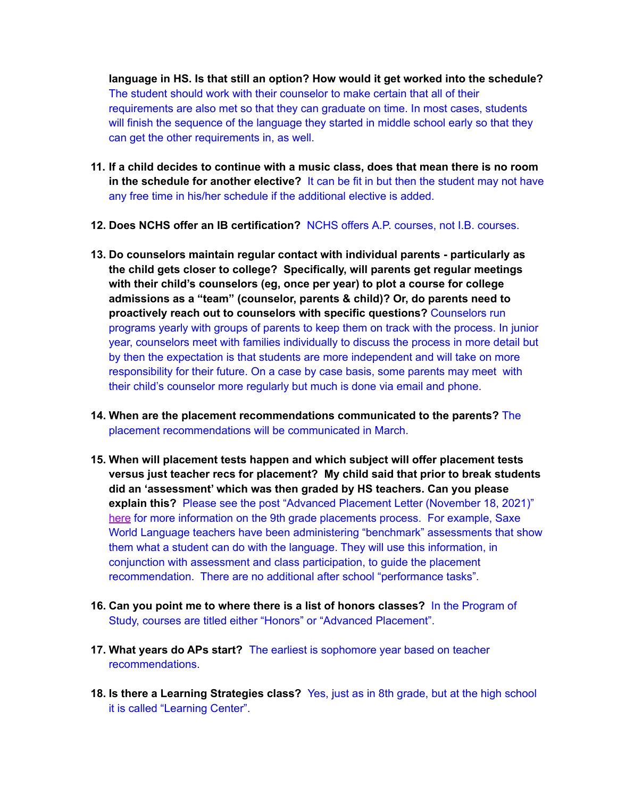**language in HS. Is that still an option? How would it get worked into the schedule?** The student should work with their counselor to make certain that all of their requirements are also met so that they can graduate on time. In most cases, students will finish the sequence of the language they started in middle school early so that they can get the other requirements in, as well.

- **11. If a child decides to continue with a music class, does that mean there is no room in the schedule for another elective?** It can be fit in but then the student may not have any free time in his/her schedule if the additional elective is added.
- **12. Does NCHS offer an IB certification?** NCHS offers A.P. courses, not I.B. courses.
- **13. Do counselors maintain regular contact with individual parents - particularly as the child gets closer to college? Specifically, will parents get regular meetings with their child's counselors (eg, once per year) to plot a course for college admissions as a "team" (counselor, parents & child)? Or, do parents need to proactively reach out to counselors with specific questions?** Counselors run programs yearly with groups of parents to keep them on track with the process. In junior year, counselors meet with families individually to discuss the process in more detail but by then the expectation is that students are more independent and will take on more responsibility for their future. On a case by case basis, some parents may meet with their child's counselor more regularly but much is done via email and phone.
- **14. When are the placement recommendations communicated to the parents?** The placement recommendations will be communicated in March.
- **15. When will placement tests happen and which subject will offer placement tests versus just teacher recs for placement? My child said that prior to break students did an 'assessment' which was then graded by HS teachers. Can you please explain this?** Please see the post "Advanced Placement Letter (November 18, 2021)" [here](https://www.ncps-k12.org/Page/2307) for more information on the 9th grade placements process. For example, Saxe World Language teachers have been administering "benchmark" assessments that show them what a student can do with the language. They will use this information, in conjunction with assessment and class participation, to guide the placement recommendation. There are no additional after school "performance tasks".
- **16. Can you point me to where there is a list of honors classes?** In the Program of Study, courses are titled either "Honors" or "Advanced Placement".
- **17. What years do APs start?** The earliest is sophomore year based on teacher recommendations.
- **18. Is there a Learning Strategies class?** Yes, just as in 8th grade, but at the high school it is called "Learning Center".